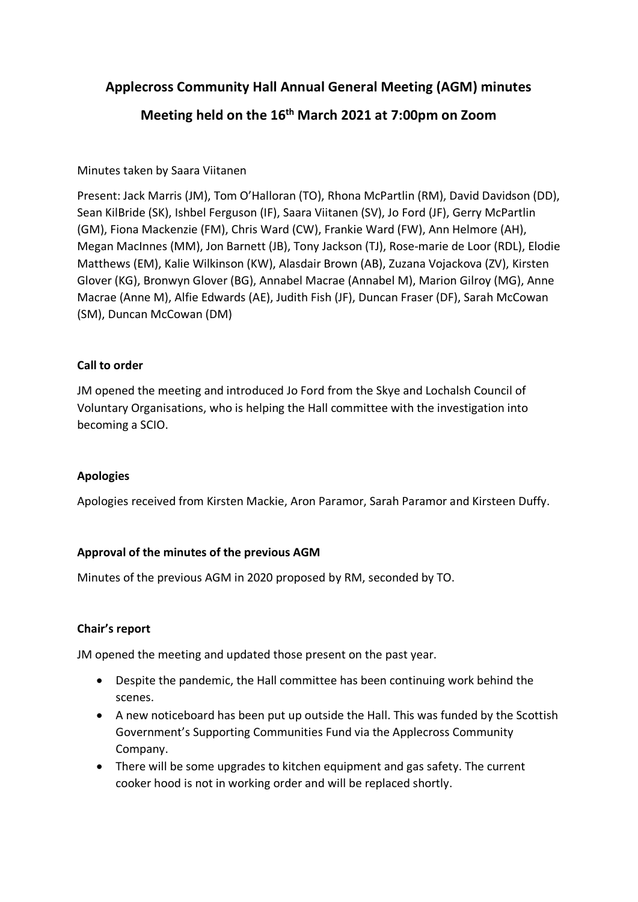## **Applecross Community Hall Annual General Meeting (AGM) minutes**

# **Meeting held on the 16th March 2021 at 7:00pm on Zoom**

### Minutes taken by Saara Viitanen

Present: Jack Marris (JM), Tom O'Halloran (TO), Rhona McPartlin (RM), David Davidson (DD), Sean KilBride (SK), Ishbel Ferguson (IF), Saara Viitanen (SV), Jo Ford (JF), Gerry McPartlin (GM), Fiona Mackenzie (FM), Chris Ward (CW), Frankie Ward (FW), Ann Helmore (AH), Megan MacInnes (MM), Jon Barnett (JB), Tony Jackson (TJ), Rose-marie de Loor (RDL), Elodie Matthews (EM), Kalie Wilkinson (KW), Alasdair Brown (AB), Zuzana Vojackova (ZV), Kirsten Glover (KG), Bronwyn Glover (BG), Annabel Macrae (Annabel M), Marion Gilroy (MG), Anne Macrae (Anne M), Alfie Edwards (AE), Judith Fish (JF), Duncan Fraser (DF), Sarah McCowan (SM), Duncan McCowan (DM)

#### **Call to order**

JM opened the meeting and introduced Jo Ford from the Skye and Lochalsh Council of Voluntary Organisations, who is helping the Hall committee with the investigation into becoming a SCIO.

#### **Apologies**

Apologies received from Kirsten Mackie, Aron Paramor, Sarah Paramor and Kirsteen Duffy.

#### **Approval of the minutes of the previous AGM**

Minutes of the previous AGM in 2020 proposed by RM, seconded by TO.

#### **Chair's report**

JM opened the meeting and updated those present on the past year.

- Despite the pandemic, the Hall committee has been continuing work behind the scenes.
- A new noticeboard has been put up outside the Hall. This was funded by the Scottish Government's Supporting Communities Fund via the Applecross Community Company.
- There will be some upgrades to kitchen equipment and gas safety. The current cooker hood is not in working order and will be replaced shortly.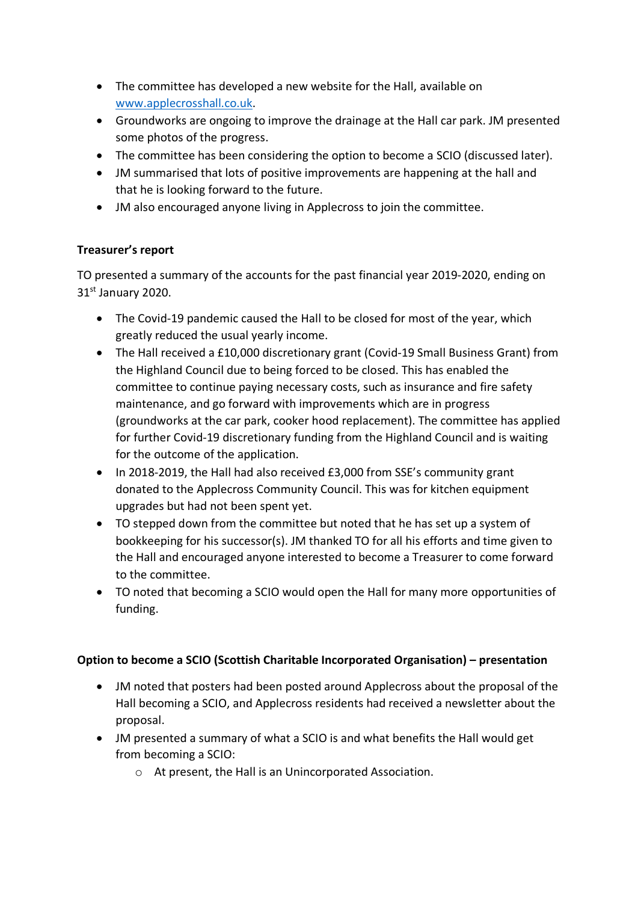- The committee has developed a new website for the Hall, available on [www.applecrosshall.co.uk.](http://www.applecrosshall.co.uk/)
- Groundworks are ongoing to improve the drainage at the Hall car park. JM presented some photos of the progress.
- The committee has been considering the option to become a SCIO (discussed later).
- JM summarised that lots of positive improvements are happening at the hall and that he is looking forward to the future.
- JM also encouraged anyone living in Applecross to join the committee.

#### **Treasurer's report**

TO presented a summary of the accounts for the past financial year 2019-2020, ending on 31st January 2020.

- The Covid-19 pandemic caused the Hall to be closed for most of the year, which greatly reduced the usual yearly income.
- The Hall received a £10,000 discretionary grant (Covid-19 Small Business Grant) from the Highland Council due to being forced to be closed. This has enabled the committee to continue paying necessary costs, such as insurance and fire safety maintenance, and go forward with improvements which are in progress (groundworks at the car park, cooker hood replacement). The committee has applied for further Covid-19 discretionary funding from the Highland Council and is waiting for the outcome of the application.
- In 2018-2019, the Hall had also received £3,000 from SSE's community grant donated to the Applecross Community Council. This was for kitchen equipment upgrades but had not been spent yet.
- TO stepped down from the committee but noted that he has set up a system of bookkeeping for his successor(s). JM thanked TO for all his efforts and time given to the Hall and encouraged anyone interested to become a Treasurer to come forward to the committee.
- TO noted that becoming a SCIO would open the Hall for many more opportunities of funding.

#### **Option to become a SCIO (Scottish Charitable Incorporated Organisation) – presentation**

- JM noted that posters had been posted around Applecross about the proposal of the Hall becoming a SCIO, and Applecross residents had received a newsletter about the proposal.
- JM presented a summary of what a SCIO is and what benefits the Hall would get from becoming a SCIO:
	- o At present, the Hall is an Unincorporated Association.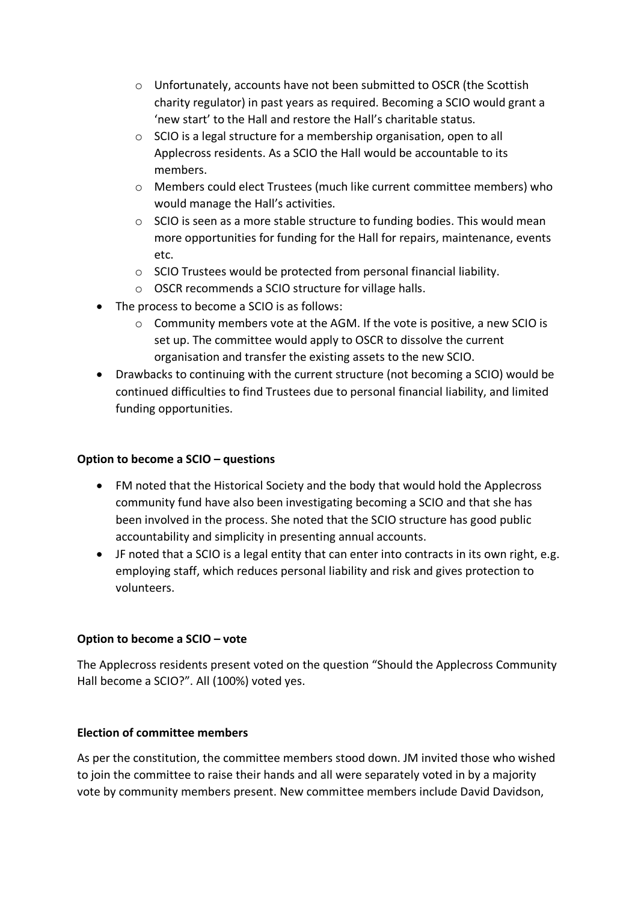- o Unfortunately, accounts have not been submitted to OSCR (the Scottish charity regulator) in past years as required. Becoming a SCIO would grant a 'new start' to the Hall and restore the Hall's charitable status.
- o SCIO is a legal structure for a membership organisation, open to all Applecross residents. As a SCIO the Hall would be accountable to its members.
- o Members could elect Trustees (much like current committee members) who would manage the Hall's activities.
- o SCIO is seen as a more stable structure to funding bodies. This would mean more opportunities for funding for the Hall for repairs, maintenance, events etc.
- o SCIO Trustees would be protected from personal financial liability.
- o OSCR recommends a SCIO structure for village halls.
- The process to become a SCIO is as follows:
	- $\circ$  Community members vote at the AGM. If the vote is positive, a new SCIO is set up. The committee would apply to OSCR to dissolve the current organisation and transfer the existing assets to the new SCIO.
- Drawbacks to continuing with the current structure (not becoming a SCIO) would be continued difficulties to find Trustees due to personal financial liability, and limited funding opportunities.

#### **Option to become a SCIO – questions**

- FM noted that the Historical Society and the body that would hold the Applecross community fund have also been investigating becoming a SCIO and that she has been involved in the process. She noted that the SCIO structure has good public accountability and simplicity in presenting annual accounts.
- JF noted that a SCIO is a legal entity that can enter into contracts in its own right, e.g. employing staff, which reduces personal liability and risk and gives protection to volunteers.

#### **Option to become a SCIO – vote**

The Applecross residents present voted on the question "Should the Applecross Community Hall become a SCIO?". All (100%) voted yes.

#### **Election of committee members**

As per the constitution, the committee members stood down. JM invited those who wished to join the committee to raise their hands and all were separately voted in by a majority vote by community members present. New committee members include David Davidson,